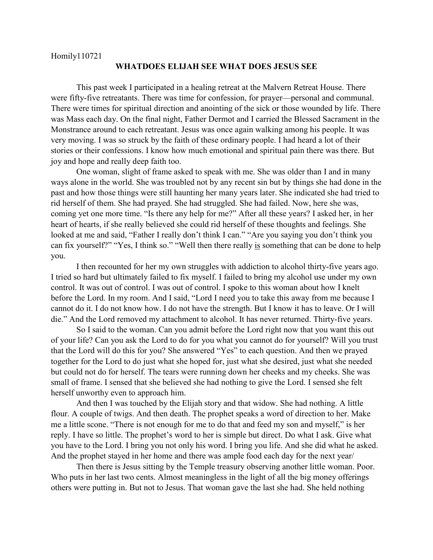## **WHATDOES ELIJAH SEE WHAT DOES JESUS SEE**

This past week I participated in a healing retreat at the Malvern Retreat House. There were fifty-five retreatants. There was time for confession, for prayer—personal and communal. There were times for spiritual direction and anointing of the sick or those wounded by life. There was Mass each day. On the final night, Father Dermot and I carried the Blessed Sacrament in the Monstrance around to each retreatant. Jesus was once again walking among his people. It was very moving. I was so struck by the faith of these ordinary people. I had heard a lot of their stories or their confessions. I know how much emotional and spiritual pain there was there. But joy and hope and really deep faith too.

One woman, slight of frame asked to speak with me. She was older than I and in many ways alone in the world. She was troubled not by any recent sin but by things she had done in the past and how those things were still haunting her many years later. She indicated she had tried to rid herself of them. She had prayed. She had struggled. She had failed. Now, here she was, coming yet one more time. "Is there any help for me?" After all these years? I asked her, in her heart of hearts, if she really believed she could rid herself of these thoughts and feelings. She looked at me and said, "Father I really don't think I can." "Are you saying you don't think you can fix yourself?" "Yes, I think so." "Well then there really is something that can be done to help you.

I then recounted for her my own struggles with addiction to alcohol thirty-five years ago. I tried so hard but ultimately failed to fix myself. I failed to bring my alcohol use under my own control. It was out of control. I was out of control. I spoke to this woman about how I knelt before the Lord. In my room. And I said, "Lord I need you to take this away from me because I cannot do it. I do not know how. I do not have the strength. But I know it has to leave. Or I will die." And the Lord removed my attachment to alcohol. It has never returned. Thirty-five years.

So I said to the woman. Can you admit before the Lord right now that you want this out of your life? Can you ask the Lord to do for you what you cannot do for yourself? Will you trust that the Lord will do this for you? She answered "Yes" to each question. And then we prayed together for the Lord to do just what she hoped for, just what she desired, just what she needed but could not do for herself. The tears were running down her cheeks and my cheeks. She was small of frame. I sensed that she believed she had nothing to give the Lord. I sensed she felt herself unworthy even to approach him.

And then I was touched by the Elijah story and that widow. She had nothing. A little flour. A couple of twigs. And then death. The prophet speaks a word of direction to her. Make me a little scone. "There is not enough for me to do that and feed my son and myself," is her reply. I have so little. The prophet's word to her is simple but direct. Do what I ask. Give what you have to the Lord. I bring you not only his word. I bring you life. And she did what he asked. And the prophet stayed in her home and there was ample food each day for the next year/

Then there is Jesus sitting by the Temple treasury observing another little woman. Poor. Who puts in her last two cents. Almost meaningless in the light of all the big money offerings others were putting in. But not to Jesus. That woman gave the last she had. She held nothing